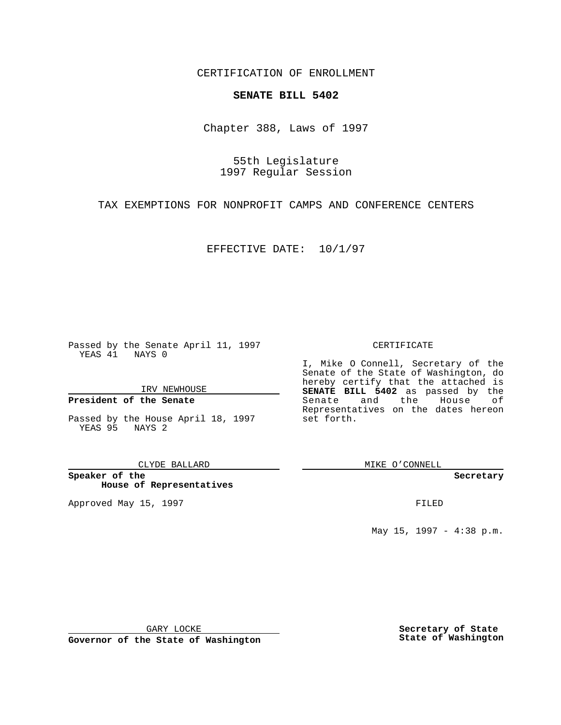CERTIFICATION OF ENROLLMENT

# **SENATE BILL 5402**

Chapter 388, Laws of 1997

55th Legislature 1997 Regular Session

TAX EXEMPTIONS FOR NONPROFIT CAMPS AND CONFERENCE CENTERS

EFFECTIVE DATE: 10/1/97

Passed by the Senate April 11, 1997 YEAS 41 NAYS 0

IRV NEWHOUSE

### **President of the Senate**

Passed by the House April 18, 1997 YEAS 95 NAYS 2

CLYDE BALLARD

**Speaker of the House of Representatives**

Approved May 15, 1997 **FILED** 

### CERTIFICATE

I, Mike O Connell, Secretary of the Senate of the State of Washington, do hereby certify that the attached is **SENATE BILL 5402** as passed by the Senate and the House of Representatives on the dates hereon set forth.

MIKE O'CONNELL

#### **Secretary**

May 15, 1997 - 4:38 p.m.

GARY LOCKE

**Governor of the State of Washington**

**Secretary of State State of Washington**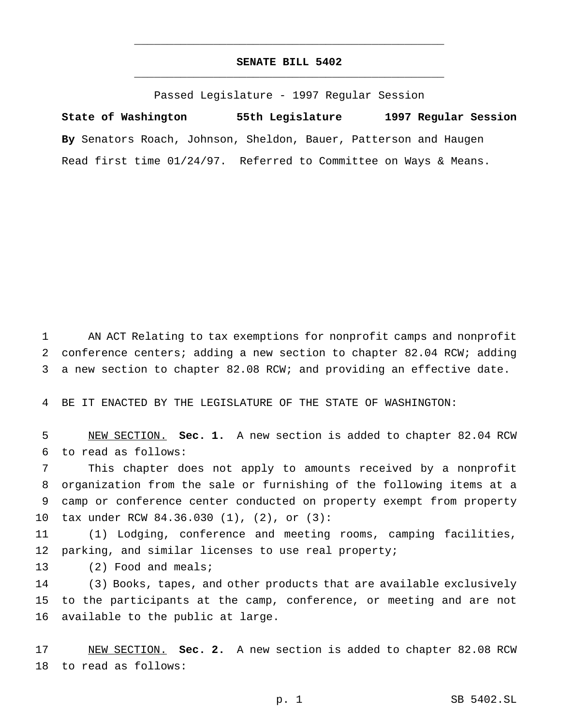## **SENATE BILL 5402** \_\_\_\_\_\_\_\_\_\_\_\_\_\_\_\_\_\_\_\_\_\_\_\_\_\_\_\_\_\_\_\_\_\_\_\_\_\_\_\_\_\_\_\_\_\_\_

\_\_\_\_\_\_\_\_\_\_\_\_\_\_\_\_\_\_\_\_\_\_\_\_\_\_\_\_\_\_\_\_\_\_\_\_\_\_\_\_\_\_\_\_\_\_\_

Passed Legislature - 1997 Regular Session

**State of Washington 55th Legislature 1997 Regular Session By** Senators Roach, Johnson, Sheldon, Bauer, Patterson and Haugen Read first time 01/24/97. Referred to Committee on Ways & Means.

 AN ACT Relating to tax exemptions for nonprofit camps and nonprofit conference centers; adding a new section to chapter 82.04 RCW; adding a new section to chapter 82.08 RCW; and providing an effective date.

BE IT ENACTED BY THE LEGISLATURE OF THE STATE OF WASHINGTON:

 NEW SECTION. **Sec. 1.** A new section is added to chapter 82.04 RCW to read as follows:

 This chapter does not apply to amounts received by a nonprofit organization from the sale or furnishing of the following items at a camp or conference center conducted on property exempt from property tax under RCW 84.36.030 (1), (2), or (3):

 (1) Lodging, conference and meeting rooms, camping facilities, parking, and similar licenses to use real property;

13 (2) Food and meals;

 (3) Books, tapes, and other products that are available exclusively to the participants at the camp, conference, or meeting and are not available to the public at large.

 NEW SECTION. **Sec. 2.** A new section is added to chapter 82.08 RCW to read as follows: